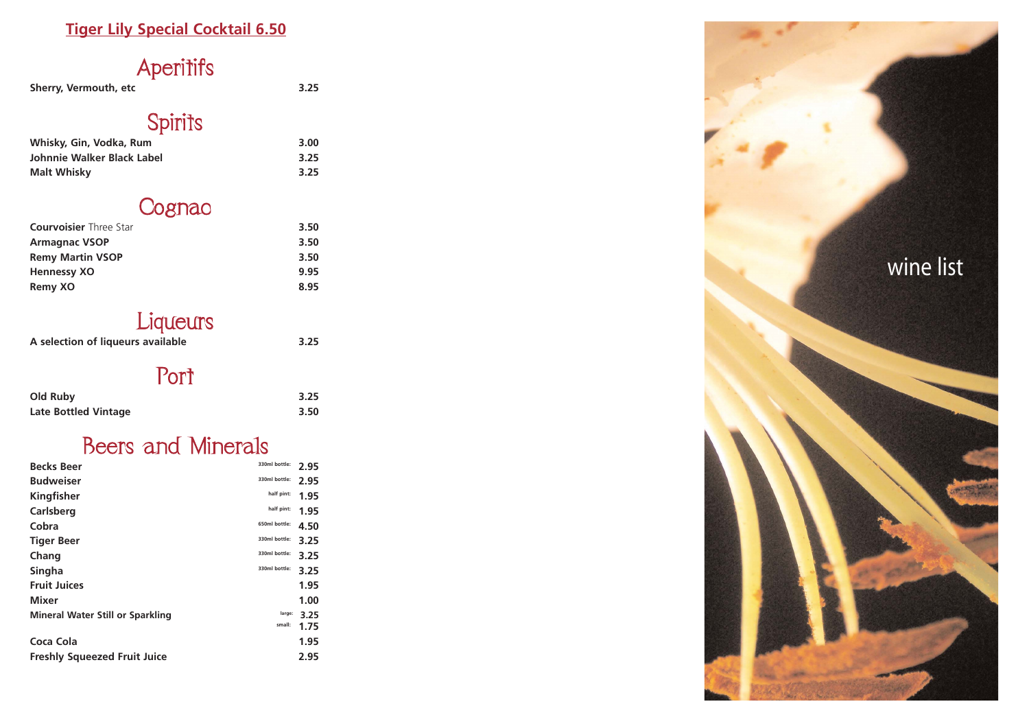#### **Tiger Lily Special Cocktail 6.50**

## Aperitifs

| Sherry, Vermouth, etc | 3.25 |
|-----------------------|------|
|-----------------------|------|

#### S pirit s

| Whisky, Gin, Vodka, Rum    | 3.00 |
|----------------------------|------|
| Johnnie Walker Black Label | 3.25 |
| <b>Malt Whisky</b>         | 3.25 |

#### Cognac

| <b>Courvoisier</b> Three Star | 3.50 |
|-------------------------------|------|
| <b>Armagnac VSOP</b>          | 3.50 |
| <b>Remy Martin VSOP</b>       | 3.50 |
| <b>Hennessy XO</b>            | 9.95 |
| <b>Remy XO</b>                | 8.95 |

#### Liqueurs

| A selection of liqueurs available | 3.25 |
|-----------------------------------|------|
|-----------------------------------|------|

#### Port

| <b>Old Ruby</b>             | 3.25 |
|-----------------------------|------|
| <b>Late Bottled Vintage</b> | 3.50 |

#### Beers and Minerals

| <b>Becks Beer</b>                       | 330ml bottle: | 2.95 |
|-----------------------------------------|---------------|------|
| <b>Budweiser</b>                        | 330ml bottle: | 2.95 |
| Kingfisher                              | half pint:    | 1.95 |
| Carlsberg                               | half pint:    | 1.95 |
| Cobra                                   | 650ml bottle: | 4.50 |
| <b>Tiger Beer</b>                       | 330ml bottle: | 3.25 |
| Chang                                   | 330ml bottle: | 3.25 |
| <b>Singha</b>                           | 330ml bottle: | 3.25 |
| <b>Fruit Juices</b>                     |               | 1.95 |
| <b>Mixer</b>                            |               | 1.00 |
| <b>Mineral Water Still or Sparkling</b> | large:        | 3.25 |
|                                         | small:        | 1.75 |
| Coca Cola                               |               | 1.95 |
| <b>Freshly Squeezed Fruit Juice</b>     |               | 2.95 |



# wine list